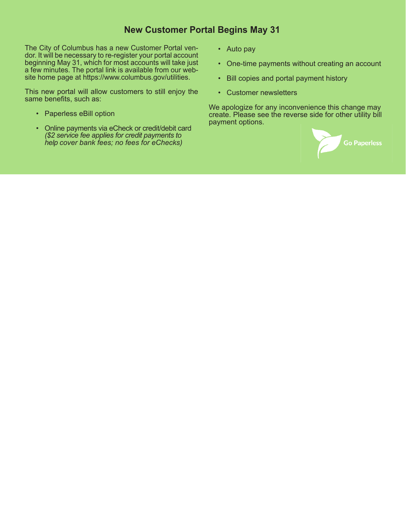## **New Customer Portal Begins May 31**

The City of Columbus has a new Customer Portal vendor. It will be necessary to re-register your portal account beginning May 31, which for most accounts will take just a few minutes. The portal link is available from our website home page at https://www.columbus.gov/utilities.

This new portal will allow customers to still enjoy the same benefits, such as:

- Paperless eBill option
- Online payments via eCheck or credit/debit card *(\$2 service fee applies for credit payments to help cover bank fees; no fees for eChecks)*
- Auto pay
- One-time payments without creating an account
- Bill copies and portal payment history
- Customer newsletters

We apologize for any inconvenience this change may create. Please see the reverse side for other utility bill payment options.